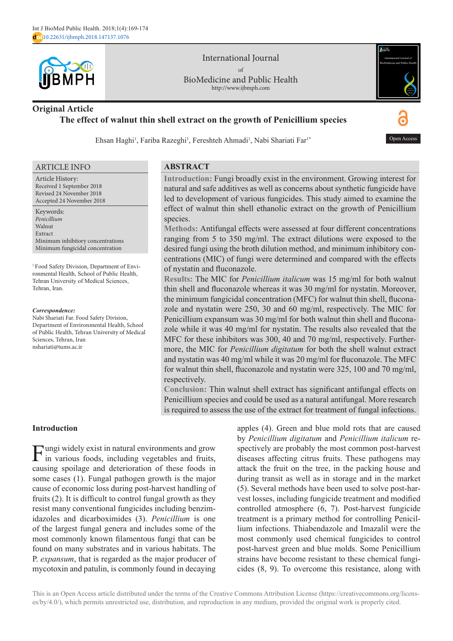

International Journal of BioMedicine and Public Health http://www.ijbmph.com



# **Original Article The effect of walnut thin shell extract on the growth of Penicillium species**

Ehsan Haghi<sup>1</sup>, Fariba Razeghi<sup>1</sup>, Fereshteh Ahmadi<sup>1</sup>, Nabi Shariati Far<sup>1\*</sup>



#### ARTICLE INFO

Article History: Received 1 September 2018 Revised 24 November 2018 Accepted 24 November 2018

Keywords: *Penicillium* Walnut Extract Minimum inhibitory concentrations Minimum fungicidal concentration

<sup>1</sup> Food Safety Division, Department of Environmental Health, School of Public Health, Tehran University of Medical Sciences, Tehran, Iran.

#### *Correspondence:*

Nabi Shariati Far. Food Safety Division, Department of Environmental Health, School of Public Health, Tehran University of Medical Sciences, Tehran, Iran nshariati@tums.ac.ir

### **ABSTRACT**

**Introduction:** Fungi broadly exist in the environment. Growing interest for natural and safe additives as well as concerns about synthetic fungicide have led to development of various fungicides. This study aimed to examine the effect of walnut thin shell ethanolic extract on the growth of Penicillium species.

**Methods:** Antifungal effects were assessed at four different concentrations ranging from 5 to 350 mg/ml. The extract dilutions were exposed to the desired fungi using the broth dilution method, and minimum inhibitory concentrations (MIC) of fungi were determined and compared with the effects of nystatin and fluconazole.

**Results:** The MIC for *Penicillium italicum* was 15 mg/ml for both walnut thin shell and fluconazole whereas it was 30 mg/ml for nystatin. Moreover, the minimum fungicidal concentration (MFC) for walnut thin shell, fluconazole and nystatin were 250, 30 and 60 mg/ml, respectively. The MIC for Penicillium expansum was 30 mg/ml for both walnut thin shell and fluconazole while it was 40 mg/ml for nystatin. The results also revealed that the MFC for these inhibitors was 300, 40 and 70 mg/ml, respectively. Furthermore, the MIC for *Penicillium digitatum* for both the shell walnut extract and nystatin was 40 mg/ml while it was 20 mg/ml for fluconazole. The MFC for walnut thin shell, fluconazole and nystatin were 325, 100 and 70 mg/ml, respectively.

**Conclusion:** Thin walnut shell extract has significant antifungal effects on Penicillium species and could be used as a natural antifungal. More research is required to assess the use of the extract for treatment of fungal infections.

# **Introduction**

Fungi widely exist in natural environments and grow in various foods, including vegetables and fruits, causing spoilage and deterioration of these foods in some cases (1). Fungal pathogen growth is the major cause of economic loss during post-harvest handling of fruits (2). It is difficult to control fungal growth as they resist many conventional fungicides including benzimidazoles and dicarboximides (3). *Penicillium* is one of the largest fungal genera and includes some of the most commonly known filamentous fungi that can be found on many substrates and in various habitats. The P. *expansum*, that is regarded as the major producer of mycotoxin and patulin, is commonly found in decaying

apples (4). Green and blue mold rots that are caused by *Penicillium digitatum* and *Penicillium italicum* respectively are probably the most common post-harvest diseases affecting citrus fruits. These pathogens may attack the fruit on the tree, in the packing house and during transit as well as in storage and in the market (5). Several methods have been used to solve post-harvest losses, including fungicide treatment and modified controlled atmosphere (6, 7). Post-harvest fungicide treatment is a primary method for controlling Penicillium infections. Thiabendazole and Imazalil were the most commonly used chemical fungicides to control post-harvest green and blue molds. Some Penicillium strains have become resistant to these chemical fungicides (8, 9). To overcome this resistance, along with

This is an Open Access article distributed under the terms of the Creative Commons Attribution License (https://creativecommons.org/licenses/by/4.0/), which permits unrestricted use, distribution, and reproduction in any medium, provided the original work is properly cited.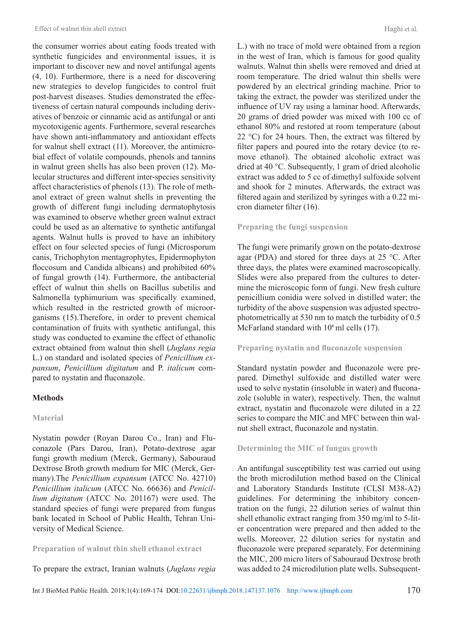the consumer worries about eating foods treated with synthetic fungicides and environmental issues, it is important to discover new and novel antifungal agents (4, 10). Furthermore, there is a need for discovering new strategies to develop fungicides to control fruit post-harvest diseases. Studies demonstrated the effectiveness of certain natural compounds including derivatives of benzoic or cinnamic acid as antifungal or anti mycotoxigenic agents. Furthermore, several researches have shown anti-inflammatory and antioxidant effects for walnut shell extract (11). Moreover, the antimicrobial effect of volatile compounds, phenols and tannins in walnut green shells has also been proven (12). Molecular structures and different inter-species sensitivity affect characteristics of phenols (13). The role of methanol extract of green walnut shells in preventing the growth of different fungi including dermatophytosis was examined to observe whether green walnut extract could be used as an alternative to synthetic antifungal agents. Walnut hulls is proved to have an inhibitory effect on four selected species of fungi (Microsporum canis, Trichophyton mentagrophytes, Epidermophyton floccosum and Candida albicans) and prohibited 60% of fungal growth (14). Furthermore, the antibacterial effect of walnut thin shells on Bacillus subetilis and Salmonella typhimurium was specifically examined, which resulted in the restricted growth of microorganisms (15).Therefore, in order to prevent chemical contamination of fruits with synthetic antifungal, this study was conducted to examine the effect of ethanolic extract obtained from walnut thin shell (*Juglans regia*  L.) on standard and isolated species of *Penicillium expansum*, *Penicillium digitatum* and P. *italicum* compared to nystatin and fluconazole.

### **Methods**

#### **Material**

Nystatin powder (Royan Darou Co., Iran) and Fluconazole (Pars Darou, Iran), Potato-dextrose agar fungi growth medium (Merck, Germany), Sabouraud Dextrose Broth growth medium for MIC (Merck, Germany).The *Penicillium expansum* (ATCC No. 42710) *Penicillium italicum* (ATCC No. 66636) and *Penicillium digitatum* (ATCC No. 201167) were used. The standard species of fungi were prepared from fungus bank located in School of Public Health, Tehran University of Medical Science.

#### **Preparation of walnut thin shell ethanol extract**

To prepare the extract, Iranian walnuts (*Juglans regia* 

L.) with no trace of mold were obtained from a region in the west of Iran, which is famous for good quality walnuts. Walnut thin shells were removed and dried at room temperature. The dried walnut thin shells were powdered by an electrical grinding machine. Prior to taking the extract, the powder was sterilized under the influence of UV ray using a laminar hood. Afterwards, 20 grams of dried powder was mixed with 100 cc of ethanol 80% and restored at room temperature (about 22  $^{\circ}$ C) for 24 hours. Then, the extract was filtered by filter papers and poured into the rotary device (to remove ethanol). The obtained alcoholic extract was dried at 40 °C. Subsequently, 1 gram of dried alcoholic extract was added to 5 cc of dimethyl sulfoxide solvent and shook for 2 minutes. Afterwards, the extract was filtered again and sterilized by syringes with a 0.22 micron diameter filter (16).

#### **Preparing the fungi suspension**

The fungi were primarily grown on the potato-dextrose agar (PDA) and stored for three days at 25 °C. After three days, the plates were examined macroscopically. Slides were also prepared from the cultures to determine the microscopic form of fungi. New fresh culture penicillium conidia were solved in distilled water; the turbidity of the above suspension was adjusted spectrophotometrically at 530 nm to match the turbidity of 0.5 McFarland standard with  $10<sup>6</sup>$  ml cells (17).

#### **Preparing nystatin and fluconazole suspension**

Standard nystatin powder and fluconazole were prepared. Dimethyl sulfoxide and distilled water were used to solve nystatin (insoluble in water) and fluconazole (soluble in water), respectively. Then, the walnut extract, nystatin and fluconazole were diluted in a 22 series to compare the MIC and MFC between thin walnut shell extract, fluconazole and nystatin.

#### **Determining the MIC of fungus growth**

An antifungal susceptibility test was carried out using the broth microdilution method based on the Clinical and Laboratory Standards Institute (CLSI M38-A2) guidelines. For determining the inhibitory concentration on the fungi, 22 dilution series of walnut thin shell ethanolic extract ranging from 350 mg/ml to 5-liter concentration were prepared and then added to the wells. Moreover, 22 dilution series for nystatin and fluconazole were prepared separately. For determining the MIC, 200 micro liters of Sabouraud Dextrose broth was added to 24 microdilution plate wells. Subsequent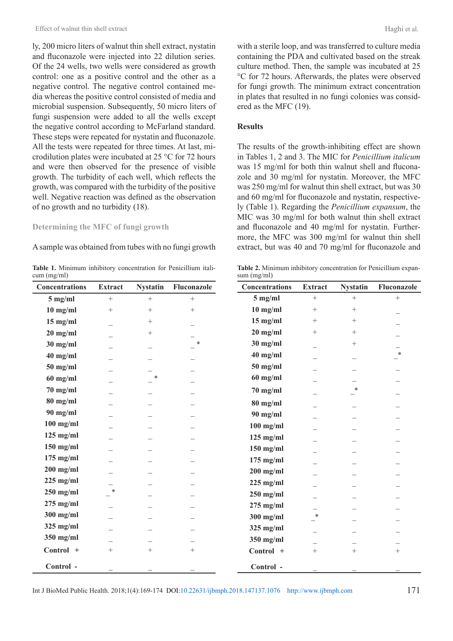ly, 200 micro liters of walnut thin shell extract, nystatin and fluconazole were injected into 22 dilution series. Of the 24 wells, two wells were considered as growth control: one as a positive control and the other as a negative control. The negative control contained media whereas the positive control consisted of media and microbial suspension. Subsequently, 50 micro liters of fungi suspension were added to all the wells except the negative control according to McFarland standard. These steps were repeated for nystatin and fluconazole. All the tests were repeated for three times. At last, microdilution plates were incubated at 25 °C for 72 hours and were then observed for the presence of visible growth. The turbidity of each well, which reflects the growth, was compared with the turbidity of the positive well. Negative reaction was defined as the observation of no growth and no turbidity (18).

### **Determining the MFC of fungi growth**

A sample was obtained from tubes with no fungi growth

**Table 1.** Minimum inhibitory concentration for Penicillium italicum (mg/ml)

| <b>Concentrations</b> | <b>Extract</b>           | <b>Nystatin</b> | Fluconazole | Concentrati        |
|-----------------------|--------------------------|-----------------|-------------|--------------------|
| $5$ mg/ml             | $+$                      | $+$             | $^{+}$      | $5$ mg/ml          |
| $10$ mg/ml            | $^{+}$                   | $^{+}$          | $^{+}$      | $10$ mg/ml         |
| $15$ mg/ml            | $\overline{\phantom{0}}$ | $^{+}$          |             | $15$ mg/ml         |
| $20$ mg/ml            |                          | $^{+}$          |             | $20$ mg/ml         |
| $30$ mg/ml            |                          |                 | $\ast$      | $30$ mg/ml         |
| $40$ mg/ml            |                          |                 |             | $40$ mg/ml         |
| $50$ mg/ml            |                          |                 |             | $50$ mg/ml         |
| $60$ mg/ml            |                          | $\ast$          |             | $60$ mg/ml         |
| $70$ mg/ml            |                          |                 |             | $70 \text{ mg/ml}$ |
| $80$ mg/ml            |                          |                 |             | $80$ mg/ml         |
| $90$ mg/ml            |                          |                 |             | $90$ mg/ml         |
| $100$ mg/ml           |                          |                 |             | $100$ mg/m         |
| $125$ mg/ml           |                          |                 |             | $125$ mg/m         |
| $150$ mg/ml           |                          |                 |             | $150$ mg/m         |
| $175$ mg/ml           |                          |                 |             | $175 \text{ mg/m}$ |
| $200$ mg/ml           |                          |                 |             | $200$ mg/m         |
| $225$ mg/ml           |                          |                 |             | $225$ mg/m         |
| $250$ mg/ml           | *                        |                 |             | $250$ mg/m         |
| $275$ mg/ml           |                          |                 |             | $275$ mg/m         |
| $300$ mg/ml           |                          |                 |             | $300$ mg/m         |
| $325$ mg/ml           |                          |                 |             | $325$ mg/m         |
| $350$ mg/ml           |                          |                 |             | $350$ mg/m         |
| Control +             | $\! + \!\!\!\!$          | $^{+}$          | $^{+}$      | Control ·          |
| Control -             |                          |                 |             | Control .          |

with a sterile loop, and was transferred to culture media containing the PDA and cultivated based on the streak culture method. Then, the sample was incubated at 25 °C for 72 hours. Afterwards, the plates were observed for fungi growth. The minimum extract concentration in plates that resulted in no fungi colonies was considered as the MFC (19).

## **Results**

The results of the growth-inhibiting effect are shown in Tables 1, 2 and 3. The MIC for *Penicillium italicum* was 15 mg/ml for both thin walnut shell and fluconazole and 30 mg/ml for nystatin. Moreover, the MFC was 250 mg/ml for walnut thin shell extract, but was 30 and 60 mg/ml for fluconazole and nystatin, respectively (Table 1). Regarding the *Penicillium expansum*, the MIC was 30 mg/ml for both walnut thin shell extract and fluconazole and 40 mg/ml for nystatin. Furthermore, the MFC was 300 mg/ml for walnut thin shell extract, but was 40 and 70 mg/ml for fluconazole and

**Table 2.** Minimum inhibitory concentration for Penicillium expansum (mg/ml)

| <b>Concentrations</b> | <b>Extract</b> | <b>Nystatin</b> | Fluconazole |
|-----------------------|----------------|-----------------|-------------|
| $5$ mg/ml             | $^{+}$         | $^{+}$          | $^{+}$      |
| $10$ mg/ml            | $+$            | $^{+}$          |             |
| $15$ mg/ml            | $+$            | $^{+}$          |             |
| $20$ mg/ml            | $^{+}$         | $^{+}$          |             |
| $30$ mg/ml            |                | $^{+}$          |             |
| $40$ mg/ml            |                |                 | $\ast$      |
| $50$ mg/ml            |                |                 |             |
| $60$ mg/ml            |                |                 |             |
| $70$ mg/ml            |                | *               |             |
| $80$ mg/ml            |                |                 |             |
| $90$ mg/ml            |                |                 |             |
| $100$ mg/ml           |                |                 |             |
| $125$ mg/ml           |                |                 |             |
| $150$ mg/ml           |                |                 |             |
| $175$ mg/ml           |                |                 |             |
| $200$ mg/ml           |                |                 |             |
| $225$ mg/ml           |                |                 |             |
| $250$ mg/ml           |                |                 |             |
| $275$ mg/ml           |                |                 |             |
| $300$ mg/ml           | $\ast$         |                 |             |
| $325$ mg/ml           |                |                 |             |
| $350$ mg/ml           |                |                 |             |
| Control +             | $+$            | $^{+}$          | $^{+}$      |
|                       |                |                 |             |
| Control -             |                |                 |             |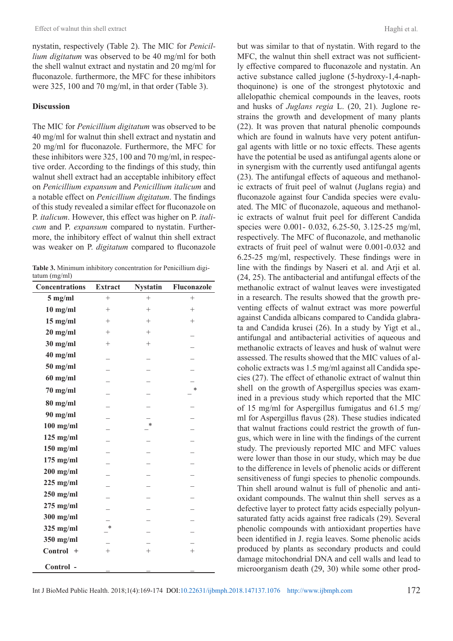nystatin, respectively (Table 2). The MIC for *Penicillium digitatum* was observed to be 40 mg/ml for both the shell walnut extract and nystatin and 20 mg/ml for fluconazole. furthermore, the MFC for these inhibitors were 325, 100 and 70 mg/ml, in that order (Table 3).

### **Discussion**

The MIC for *Penicillium digitatum* was observed to be 40 mg/ml for walnut thin shell extract and nystatin and 20 mg/ml for fluconazole. Furthermore, the MFC for these inhibitors were 325, 100 and 70 mg/ml, in respective order. According to the findings of this study, thin walnut shell extract had an acceptable inhibitory effect on *Penicillium expansum* and *Penicillium italicum* and a notable effect on *Penicillium digitatum*. The findings of this study revealed a similar effect for fluconazole on P. *italicum*. However, this effect was higher on P. *italicum* and P. *expansum* compared to nystatin. Furthermore, the inhibitory effect of walnut thin shell extract was weaker on P. *digitatum* compared to fluconazole

**Table 3.** Minimum inhibitory concentration for Penicillium digitatum (mg/ml)

| <b>Concentrations</b> | <b>Extract</b> | <b>Nystatin</b> | Fluconazole |
|-----------------------|----------------|-----------------|-------------|
| $5$ mg/ml             | $^{+}$         | $+$             | $^{+}$      |
| $10$ mg/ml            | $^{+}$         | $+$             | $+$         |
| $15$ mg/ml            | $^{+}$         | $^{+}$          | $+$         |
| $20$ mg/ml            | $^{+}$         | $^{+}$          |             |
| $30$ mg/ml            | $^{+}$         | $^{+}$          |             |
| $40$ mg/ml            |                |                 |             |
| $50$ mg/ml            |                |                 |             |
| $60$ mg/ml            |                |                 |             |
| $70$ mg/ml            |                |                 | $\ast$      |
| $80$ mg/ml            |                |                 |             |
| 90 mg/ml              |                |                 |             |
| $100$ mg/ml           |                | *               |             |
| $125$ mg/ml           |                |                 |             |
| $150$ mg/ml           |                |                 |             |
| $175$ mg/ml           |                |                 |             |
| $200$ mg/ml           |                |                 |             |
| $225$ mg/ml           |                |                 |             |
| $250$ mg/ml           |                |                 |             |
| $275$ mg/ml           |                |                 |             |
| $300$ mg/ml           |                |                 |             |
| $325$ mg/ml           | *              |                 |             |
| $350$ mg/ml           |                |                 |             |
| Control +             | $^{+}$         | $+$             | $^{+}$      |
| Control -             |                |                 |             |

but was similar to that of nystatin. With regard to the MFC, the walnut thin shell extract was not sufficiently effective compared to fluconazole and nystatin. An active substance called juglone (5-hydroxy-1,4-naphthoquinone) is one of the strongest phytotoxic and allelopathic chemical compounds in the leaves, roots and husks of *Juglans regia* L. (20, 21). Juglone restrains the growth and development of many plants (22). It was proven that natural phenolic compounds which are found in walnuts have very potent antifungal agents with little or no toxic effects. These agents have the potential be used as antifungal agents alone or in synergism with the currently used antifungal agents (23). The antifungal effects of aqueous and methanolic extracts of fruit peel of walnut (Juglans regia) and fluconazole against four Candida species were evaluated. The MIC of fluconazole, aqueous and methanolic extracts of walnut fruit peel for different Candida species were 0.001- 0.032, 6.25-50, 3.125-25 mg/ml, respectively. The MFC of fluconazole, and methanolic extracts of fruit peel of walnut were 0.001-0.032 and 6.25-25 mg/ml, respectively. These findings were in line with the findings by Naseri et al. and Arji et al. (24, 25). The antibacterial and antifungal effects of the methanolic extract of walnut leaves were investigated in a research. The results showed that the growth preventing effects of walnut extract was more powerful against Candida albicans compared to Candida glabrata and Candida krusei (26). In a study by Yigt et al., antifungal and antibacterial activities of aqueous and methanolic extracts of leaves and husk of walnut were assessed. The results showed that the MIC values of alcoholic extracts was 1.5 mg/ml against all Candida species (27). The effect of ethanolic extract of walnut thin shell on the growth of Aspergillus species was examined in a previous study which reported that the MIC of 15 mg/ml for Aspergillus fumigatus and 61.5 mg/ ml for Aspergillus flavus (28). These studies indicated that walnut fractions could restrict the growth of fungus, which were in line with the findings of the current study. The previously reported MIC and MFC values were lower than those in our study, which may be due to the difference in levels of phenolic acids or different sensitiveness of fungi species to phenolic compounds. Thin shell around walnut is full of phenolic and antioxidant compounds. The walnut thin shell serves as a defective layer to protect fatty acids especially polyunsaturated fatty acids against free radicals (29). Several phenolic compounds with antioxidant properties have been identified in J. regia leaves. Some phenolic acids produced by plants as secondary products and could damage mitochondrial DNA and cell walls and lead to microorganism death (29, 30) while some other prod-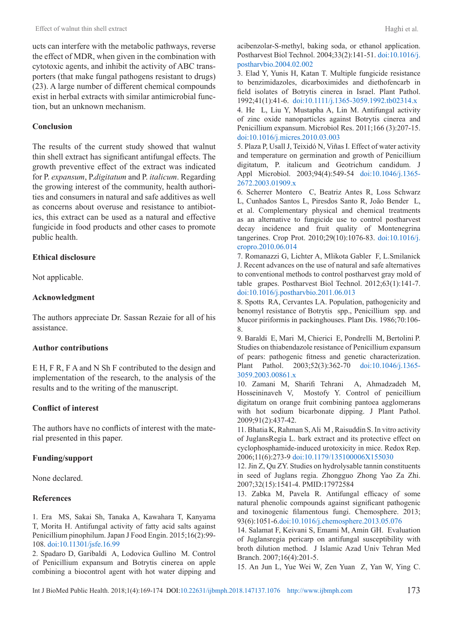ucts can interfere with the metabolic pathways, reverse the effect of MDR, when given in the combination with cytotoxic agents, and inhibit the activity of ABC transporters (that make fungal pathogens resistant to drugs) (23). A large number of different chemical compounds exist in herbal extracts with similar antimicrobial function, but an unknown mechanism.

### **Conclusion**

The results of the current study showed that walnut thin shell extract has significant antifungal effects. The growth preventive effect of the extract was indicated for P. *expansum*, P.*digitatum* and P. *italicum*. Regarding the growing interest of the community, health authorities and consumers in natural and safe additives as well as concerns about overuse and resistance to antibiotics, this extract can be used as a natural and effective fungicide in food products and other cases to promote public health.

### **Ethical disclosure**

Not applicable.

### **Acknowledgment**

The authors appreciate Dr. Sassan Rezaie for all of his assistance.

# **Author contributions**

E H, F R, F A and N Sh F contributed to the design and implementation of the research, to the analysis of the results and to the writing of the manuscript.

# **Conflict of interest**

The authors have no conflicts of interest with the material presented in this paper.

### **Funding/support**

None declared.

### **References**

1. Era MS, Sakai Sh, Tanaka A, Kawahara T, Kanyama T, Morita H. Antifungal activity of fatty acid salts against Penicillium pinophilum. Japan J Food Engin. 2015;16(2):99- 108. [doi:10.11301/jsfe.16.99](https://dx.doi.org/10.11301/jsfe.16.99)

2. Spadaro D, Garibaldi A, Lodovica Gullino M. Control of Penicillium expansum and Botrytis cinerea on apple combining a biocontrol agent with hot water dipping and acibenzolar-S-methyl, baking soda, or ethanol application. Postharvest Biol Technol. 2004;33(2):141-51. [doi:10.1016/j.](https://dx.doi.org/10.1016/j.postharvbio.2004.02.002 ) [postharvbio.2004.02.002](https://dx.doi.org/10.1016/j.postharvbio.2004.02.002 )

3. Elad Y, Yunis H, Katan T. Multiple fungicide resistance to benzimidazoles, dicarboximides and diethofencarb in field isolates of Botrytis cinerea in Israel. Plant Pathol. 1992;41(1):41-6. [doi:10.1111/j.1365-3059.1992.tb02314.x](https://dx.doi.org/10.1111/j.1365-3059.1992.tb02314.x ) 4. He L, Liu Y, Mustapha A, Lin M. Antifungal activity of zinc oxide nanoparticles against Botrytis cinerea and Penicillium expansum. Microbiol Res. 2011;166 (3):207-15. [doi:10.1016/j.micres.2010.03.003](https://dx.doi.org/10.1016/j.micres.2010.03.003)

5. Plaza P, Usall J, Teixidó N, Viñas I. Effect of water activity and temperature on germination and growth of Penicillium digitatum, P. italicum and Geotrichum candidum. J Appl Microbiol. 2003;94(4):549-54 [doi:10.1046/j.1365-](https://dx.doi.org/10.1046/j.1365-2672.2003.01909.x ) [2672.2003.01909.x](https://dx.doi.org/10.1046/j.1365-2672.2003.01909.x )

6. Scherrer Montero C, Beatriz Antes R, Loss Schwarz L, Cunhados Santos L, Piresdos Santo R, João Bender L, et al. Complementary physical and chemical treatments as an alternative to fungicide use to control postharvest decay incidence and fruit quality of Montenegrina tangerines. Crop Prot. 2010;29(10):1076-83. [doi:10.1016/j.](https://dx.doi.org/10.1016/j.cropro.2010.06.014 ) [cropro.2010.06.014](https://dx.doi.org/10.1016/j.cropro.2010.06.014 )

7. Romanazzi G, Lichter A, Mlikota Gabler F, L.Smilanick J. Recent advances on the use of natural and safe alternatives to conventional methods to control postharvest gray mold of table grapes. Postharvest Biol Technol. 2012;63(1):141-7. [doi:10.1016/j.postharvbio.2011.06.013](https://dx.doi.org/10.1016/j.postharvbio.2011.06.013)

8. Spotts RA, Cervantes LA. Population, pathogenicity and benomyl resistance of Botrytis spp., Penicillium spp. and Mucor piriformis in packinghouses. Plant Dis. 1986;70:106- 8.

9. Baraldi E, Mari M, Chierici E, Pondrelli M, Bertolini P. Studies on thiabendazole resistance of Penicillium expansum of pears: pathogenic fitness and genetic characterization. Plant Pathol. 2003;52(3):362-70 [doi:10.1046/j.1365-](https://dx.doi.org/10.1046/j.1365-3059.2003.00861.x ) [3059.2003.00861.x](https://dx.doi.org/10.1046/j.1365-3059.2003.00861.x )

10. Zamani M, Sharifi Tehrani A, Ahmadzadeh M, Hosseininaveh V, Mostofy Y. Control of penicillium digitatum on orange fruit combining pantoea agglomerans with hot sodium bicarbonate dipping. J Plant Pathol. 2009;91(2):437-42.

11. Bhatia K, Rahman S, Ali M , Raisuddin S. In vitro activity of JuglansRegia L. bark extract and its protective effect on cyclophosphamide-induced urotoxicity in mice. Redox Rep. 2006;11(6):273-9 [doi:10.1179/135100006X155030](https://dx.doi.org/10.1179/135100006X155030)

12. Jin Z, Qu ZY. Studies on hydrolysable tannin constituents in seed of Juglans regia. Zhongguo Zhong Yao Za Zhi. 2007;32(15):1541-4. PMID:17972584

13. Zabka M, Pavela R. Antifungal efficacy of some natural phenolic compounds against significant pathogenic and toxinogenic filamentous fungi. Chemosphere. 2013; 93(6):1051-6[.doi:10.1016/j.chemosphere.2013.05.076](https://dx.doi.org/10.1016/j.chemosphere.2013.05.076)

14. Salamat F, Keivani S, Emami M, Amin GH. Evaluation of Juglansregia pericarp on antifungal susceptibility with broth dilution method. J Islamic Azad Univ Tehran Med Branch. 2007;16(4):201-5.

15. An Jun L, Yue Wei W, Zen Yuan Z, Yan W, Ying C.